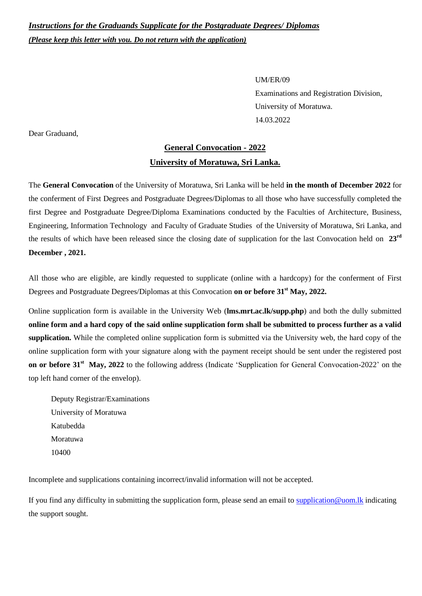*Instructions for the Graduands Supplicate for the Postgraduate Degrees/ Diplomas (Please keep this letter with you. Do not return with the application)*

> UM/ER/09 Examinations and Registration Division, University of Moratuwa. 14.03.2022

Dear Graduand,

## **General Convocation - 2022 University of Moratuwa, Sri Lanka.**

The **General Convocation** of the University of Moratuwa, Sri Lanka will be held **in the month of December 2022** for the conferment of First Degrees and Postgraduate Degrees/Diplomas to all those who have successfully completed the first Degree and Postgraduate Degree/Diploma Examinations conducted by the Faculties of Architecture, Business, Engineering, Information Technology and Faculty of Graduate Studies of the University of Moratuwa, Sri Lanka, and the results of which have been released since the closing date of supplication for the last Convocation held on **23rd December , 2021.**

All those who are eligible, are kindly requested to supplicate (online with a hardcopy) for the conferment of First Degrees and Postgraduate Degrees/Diplomas at this Convocation **on or before 31 st May, 2022.**

Online supplication form is available in the University Web (**lms.mrt.ac.lk/supp.php**) and both the dully submitted **online form and a hard copy of the said online supplication form shall be submitted to process further as a valid supplication.** While the completed online supplication form is submitted via the University web, the hard copy of the online supplication form with your signature along with the payment receipt should be sent under the registered post **on or before 31<sup>st</sup> May, 2022** to the following address (Indicate 'Supplication for General Convocation-2022' on the top left hand corner of the envelop).

Deputy Registrar/Examinations University of Moratuwa Katubedda Moratuwa 10400

Incomplete and supplications containing incorrect/invalid information will not be accepted.

If you find any difficulty in submitting the supplication form, please send an email to [supplication@uom.lk](mailto:supplication@uom.lk) indicating the support sought.